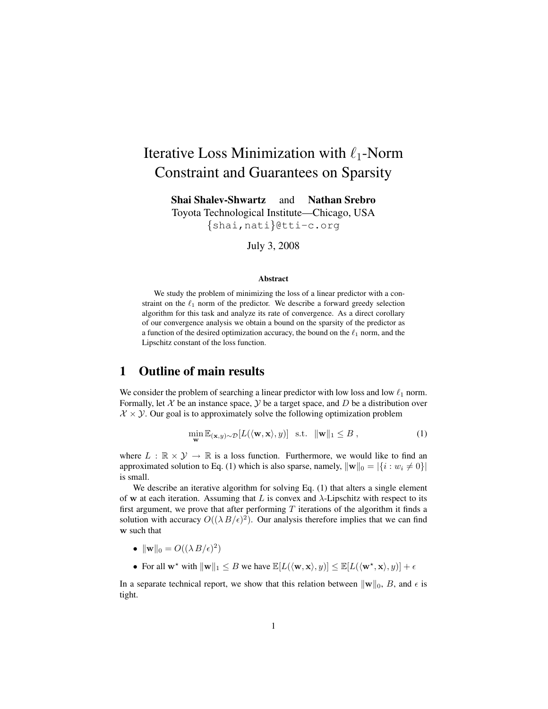# Iterative Loss Minimization with  $\ell_1$ -Norm Constraint and Guarantees on Sparsity

Shai Shalev-Shwartz and Nathan Srebro Toyota Technological Institute—Chicago, USA {shai,nati}@tti-c.org

July 3, 2008

#### Abstract

We study the problem of minimizing the loss of a linear predictor with a constraint on the  $\ell_1$  norm of the predictor. We describe a forward greedy selection algorithm for this task and analyze its rate of convergence. As a direct corollary of our convergence analysis we obtain a bound on the sparsity of the predictor as a function of the desired optimization accuracy, the bound on the  $\ell_1$  norm, and the Lipschitz constant of the loss function.

### 1 Outline of main results

We consider the problem of searching a linear predictor with low loss and low  $\ell_1$  norm. Formally, let  $X$  be an instance space,  $Y$  be a target space, and  $D$  be a distribution over  $X \times Y$ . Our goal is to approximately solve the following optimization problem

$$
\min_{\mathbf{w}} \mathbb{E}_{(\mathbf{x}, y) \sim \mathcal{D}}[L(\langle \mathbf{w}, \mathbf{x} \rangle, y)] \quad \text{s.t.} \quad \|\mathbf{w}\|_1 \le B \;, \tag{1}
$$

where  $L : \mathbb{R} \times \mathcal{Y} \to \mathbb{R}$  is a loss function. Furthermore, we would like to find an approximated solution to Eq. (1) which is also sparse, namely,  $\|\mathbf{w}\|_0 = |\{i : w_i \neq 0\}|$ is small.

We describe an iterative algorithm for solving Eq. (1) that alters a single element of w at each iteration. Assuming that L is convex and  $\lambda$ -Lipschitz with respect to its first argument, we prove that after performing  $T$  iterations of the algorithm it finds a solution with accuracy  $O((\lambda B/\epsilon)^2)$ . Our analysis therefore implies that we can find w such that

- $\|\mathbf{w}\|_0 = O((\lambda B/\epsilon)^2)$
- For all  $\mathbf{w}^*$  with  $\|\mathbf{w}\|_1 \leq B$  we have  $\mathbb{E}[L(\langle \mathbf{w}, \mathbf{x} \rangle, y)] \leq \mathbb{E}[L(\langle \mathbf{w}^*, \mathbf{x} \rangle, y)] + \epsilon$

In a separate technical report, we show that this relation between  $\|\mathbf{w}\|_0$ , B, and  $\epsilon$  is tight.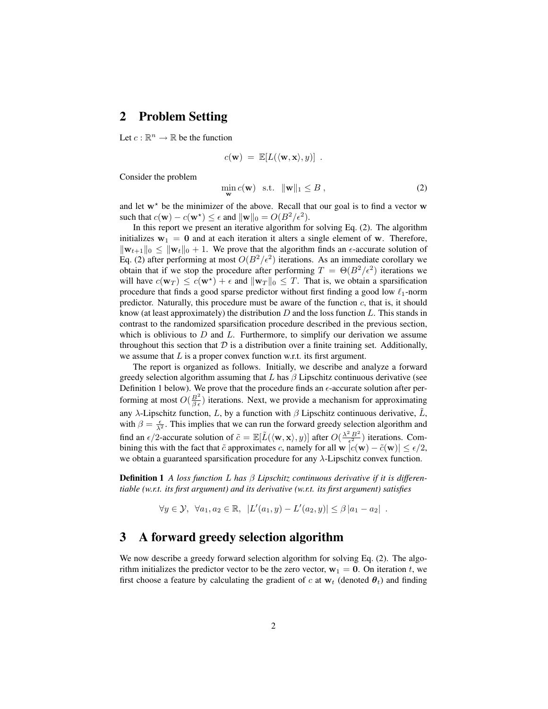#### 2 Problem Setting

Let  $c : \mathbb{R}^n \to \mathbb{R}$  be the function

$$
c(\mathbf{w}) = \mathbb{E}[L(\langle \mathbf{w}, \mathbf{x} \rangle, y)] \enspace .
$$

Consider the problem

$$
\min_{\mathbf{w}} c(\mathbf{w}) \quad \text{s.t.} \quad \|\mathbf{w}\|_1 \leq B \tag{2}
$$

and let  $w^*$  be the minimizer of the above. Recall that our goal is to find a vector w such that  $c(\mathbf{w}) - c(\mathbf{w}^*) \le \epsilon$  and  $\|\mathbf{w}\|_0 = O(B^2/\epsilon^2)$ .

In this report we present an iterative algorithm for solving Eq. (2). The algorithm initializes  $w_1 = 0$  and at each iteration it alters a single element of w. Therefore,  $\|\mathbf{w}_{t+1}\|_0 \leq \|\mathbf{w}_t\|_0 + 1$ . We prove that the algorithm finds an  $\epsilon$ -accurate solution of Eq. (2) after performing at most  $O(B^2/\epsilon^2)$  iterations. As an immediate corollary we obtain that if we stop the procedure after performing  $T = \Theta(B^2/\epsilon^2)$  iterations we will have  $c(\mathbf{w}_T) \leq c(\mathbf{w}^*) + \epsilon$  and  $\|\mathbf{w}_T\|_0 \leq T$ . That is, we obtain a sparsification procedure that finds a good sparse predictor without first finding a good low  $\ell_1$ -norm predictor. Naturally, this procedure must be aware of the function  $c$ , that is, it should know (at least approximately) the distribution  $D$  and the loss function  $L$ . This stands in contrast to the randomized sparsification procedure described in the previous section, which is oblivious to  $D$  and  $L$ . Furthermore, to simplify our derivation we assume throughout this section that  $D$  is a distribution over a finite training set. Additionally, we assume that  $L$  is a proper convex function w.r.t. its first argument.

The report is organized as follows. Initially, we describe and analyze a forward greedy selection algorithm assuming that  $L$  has  $\beta$  Lipschitz continuous derivative (see Definition 1 below). We prove that the procedure finds an  $\epsilon$ -accurate solution after performing at most  $O(\frac{B^2}{\beta \epsilon})$  iterations. Next, we provide a mechanism for approximating any λ-Lipschitz function, L, by a function with  $\beta$  Lipschitz continuous derivative,  $\tilde{L}$ , with  $\beta = \frac{\epsilon}{\lambda^2}$ . This implies that we can run the forward greedy selection algorithm and find an  $\epsilon/2$ -accurate solution of  $\tilde{c} = \mathbb{E}[\tilde{L}(\langle \mathbf{w}, \mathbf{x} \rangle, y)]$  after  $O(\frac{\lambda^2 B^2}{\epsilon^2})$  iterations. Combining this with the fact that  $\tilde{c}$  approximates c, namely for all w  $|c(\mathbf{w}) - \tilde{c}(\mathbf{w})| \leq \epsilon/2$ , we obtain a guaranteed sparsification procedure for any  $\lambda$ -Lipschitz convex function.

Definition 1 *A loss function* L *has* β *Lipschitz continuous derivative if it is differentiable (w.r.t. its first argument) and its derivative (w.r.t. its first argument) satisfies*

 $\forall y \in \mathcal{Y}, \ \forall a_1, a_2 \in \mathbb{R}, \ |L'(a_1, y) - L'(a_2, y)| \leq \beta |a_1 - a_2|$ .

### 3 A forward greedy selection algorithm

We now describe a greedy forward selection algorithm for solving Eq. (2). The algorithm initializes the predictor vector to be the zero vector,  $w_1 = 0$ . On iteration t, we first choose a feature by calculating the gradient of c at  $w_t$  (denoted  $\theta_t$ ) and finding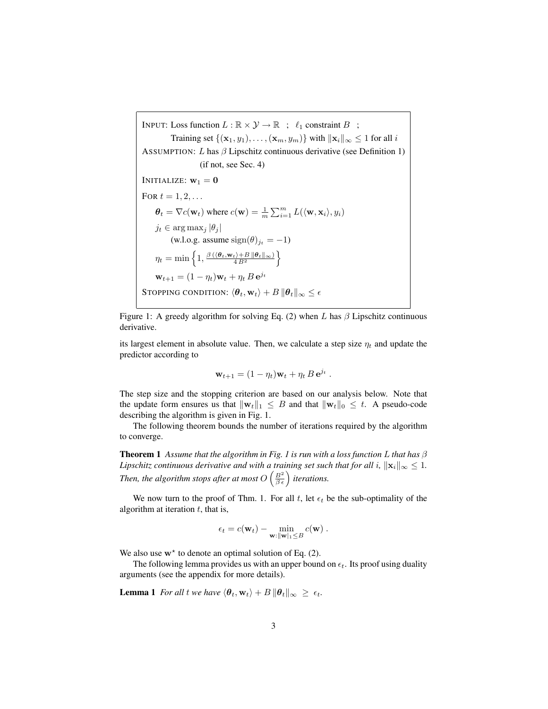INPUT: Loss function  $L : \mathbb{R} \times \mathcal{Y} \to \mathbb{R}$  ;  $\ell_1$  constraint  $B$  ; Training set  $\{(\mathbf{x}_1, y_1), \dots, (\mathbf{x}_m, y_m)\}\$  with  $\|\mathbf{x}_i\|_{\infty} \leq 1$  for all i ASSUMPTION: L has  $\beta$  Lipschitz continuous derivative (see Definition 1) (if not, see Sec. 4) INITIALIZE:  $w_1 = 0$ FOR  $t = 1, 2, \ldots$  $\theta_t = \nabla c(\mathbf{w}_t)$  where  $c(\mathbf{w}) = \frac{1}{m} \sum_{i=1}^m L(\langle \mathbf{w}, \mathbf{x}_i \rangle, y_i)$  $j_t \in \arg \max_j |\theta_j|$ (w.l.o.g. assume  $sign(\theta)_{j_t} = -1$ )  $\eta_t = \min\left\{1, \frac{\beta\left(\langle \boldsymbol{\theta}_t, \mathbf{w}_t\rangle + B\left\|\boldsymbol{\theta}_t\right\|_\infty\right)}{4\,B^2}\right\}$  $\mathbf{w}_{t+1} = (1 - \eta_t)\mathbf{w}_t + \eta_t B \,\mathbf{e}^{j_t}$ STOPPING CONDITION:  $\langle \theta_t, \mathbf{w}_t \rangle + B \|\theta_t\|_{\infty} \leq \epsilon$ 

Figure 1: A greedy algorithm for solving Eq. (2) when L has  $\beta$  Lipschitz continuous derivative.

its largest element in absolute value. Then, we calculate a step size  $\eta_t$  and update the predictor according to

$$
\mathbf{w}_{t+1} = (1 - \eta_t)\mathbf{w}_t + \eta_t B \,\mathbf{e}^{j_t}.
$$

The step size and the stopping criterion are based on our analysis below. Note that the update form ensures us that  $\|\mathbf{w}_t\|_1 \leq B$  and that  $\|\mathbf{w}_t\|_0 \leq t$ . A pseudo-code describing the algorithm is given in Fig. 1.

The following theorem bounds the number of iterations required by the algorithm to converge.

Theorem 1 *Assume that the algorithm in Fig. 1 is run with a loss function* L *that has* β *Lipschitz continuous derivative and with a training set such that for all i,*  $\|\mathbf{x}_i\|_{\infty} \leq 1$ *.* Then, the algorithm stops after at most  $O\left(\frac{B^2}{\beta \epsilon}\right)$  iterations.

We now turn to the proof of Thm. 1. For all t, let  $\epsilon_t$  be the sub-optimality of the algorithm at iteration  $t$ , that is,

$$
\epsilon_t = c(\mathbf{w}_t) - \min_{\mathbf{w}: \|\mathbf{w}\|_1 \leq B} c(\mathbf{w}) .
$$

We also use  $w^*$  to denote an optimal solution of Eq. (2).

The following lemma provides us with an upper bound on  $\epsilon_t$ . Its proof using duality arguments (see the appendix for more details).

**Lemma 1** *For all* t *we have*  $\langle \theta_t, \mathbf{w}_t \rangle + B \|\theta_t\|_{\infty} \geq \epsilon_t$ .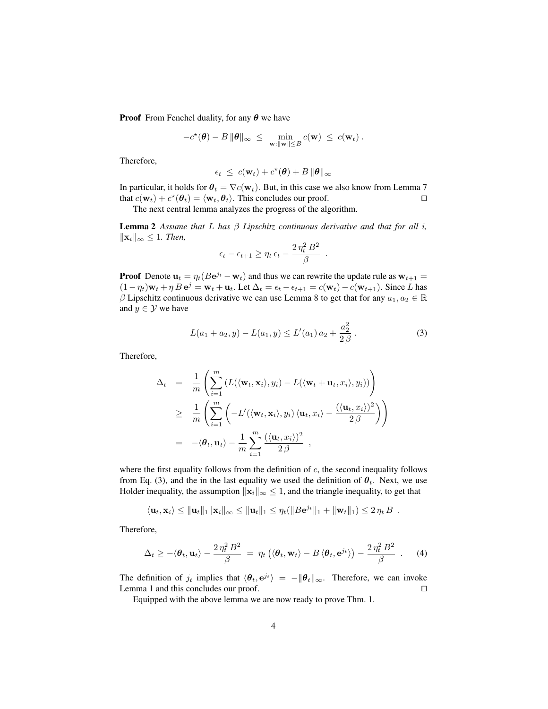**Proof** From Fenchel duality, for any  $\theta$  we have

$$
-c^{\star}(\boldsymbol{\theta})-B\,\|\boldsymbol{\theta}\|_{\infty} ~\leq~ \min_{\mathbf{w}:\|\mathbf{w}\|\leq B}c(\mathbf{w}) ~\leq~ c(\mathbf{w}_t)\ .
$$

Therefore,

$$
\epsilon_t \ \leq \ c(\mathbf{w}_t) + c^\star(\boldsymbol{\theta}) + B \, \|\boldsymbol{\theta}\|_\infty
$$

In particular, it holds for  $\theta_t = \nabla c(\mathbf{w}_t)$ . But, in this case we also know from Lemma 7 that  $c(\mathbf{w}_t) + c^*(\theta_t) = \langle \mathbf{w}_t, \theta_t \rangle$ . This concludes our proof.

The next central lemma analyzes the progress of the algorithm.

Lemma 2 *Assume that* L *has* β *Lipschitz continuous derivative and that for all* i*,*  $||\mathbf{x}_i||_{\infty}$  ≤ 1*. Then,* 

$$
\epsilon_t - \epsilon_{t+1} \ge \eta_t \, \epsilon_t - \frac{2 \, \eta_t^2 \, B^2}{\beta}
$$

**Proof** Denote  $\mathbf{u}_t = \eta_t (B e^{j_t} - \mathbf{w}_t)$  and thus we can rewrite the update rule as  $\mathbf{w}_{t+1} =$  $(1 - \eta_t)\mathbf{w}_t + \eta B \mathbf{e}^j = \mathbf{w}_t + \mathbf{u}_t$ . Let  $\Delta_t = \epsilon_t - \epsilon_{t+1} = c(\mathbf{w}_t) - c(\mathbf{w}_{t+1})$ . Since L has β Lipschitz continuous derivative we can use Lemma 8 to get that for any  $a_1, a_2 \in \mathbb{R}$ and  $y \in \mathcal{Y}$  we have

$$
L(a_1 + a_2, y) - L(a_1, y) \le L'(a_1) a_2 + \frac{a_2^2}{2\beta}.
$$
 (3)

.

Therefore,

$$
\Delta_t = \frac{1}{m} \left( \sum_{i=1}^m \left( L(\langle \mathbf{w}_t, \mathbf{x}_i \rangle, y_i) - L(\langle \mathbf{w}_t + \mathbf{u}_t, x_i \rangle, y_i) \right) \right)
$$
\n
$$
\geq \frac{1}{m} \left( \sum_{i=1}^m \left( -L'(\langle \mathbf{w}_t, \mathbf{x}_i \rangle, y_i) \langle \mathbf{u}_t, x_i \rangle - \frac{(\langle \mathbf{u}_t, x_i \rangle)^2}{2\beta} \right) \right)
$$
\n
$$
= -\langle \theta_t, \mathbf{u}_t \rangle - \frac{1}{m} \sum_{i=1}^m \frac{(\langle \mathbf{u}_t, x_i \rangle)^2}{2\beta},
$$

where the first equality follows from the definition of  $c$ , the second inequality follows from Eq. (3), and the in the last equality we used the definition of  $\theta_t$ . Next, we use Holder inequality, the assumption  $\|\mathbf{x}_i\|_{\infty} \leq 1$ , and the triangle inequality, to get that

$$
\langle \mathbf{u}_t, \mathbf{x}_i \rangle \leq ||\mathbf{u}_t||_1 ||\mathbf{x}_i||_{\infty} \leq ||\mathbf{u}_t||_1 \leq \eta_t (||B\mathbf{e}^{jt}||_1 + ||\mathbf{w}_t||_1) \leq 2 \eta_t B
$$
.

Therefore,

$$
\Delta_t \geq -\langle \boldsymbol{\theta}_t, \mathbf{u}_t \rangle - \frac{2 \eta_t^2 B^2}{\beta} = \eta_t \left( \langle \boldsymbol{\theta}_t, \mathbf{w}_t \rangle - B \langle \boldsymbol{\theta}_t, \mathbf{e}^{j_t} \rangle \right) - \frac{2 \eta_t^2 B^2}{\beta} \quad . \tag{4}
$$

The definition of  $j_t$  implies that  $\langle \theta_t, e^{jt} \rangle = -\|\theta_t\|_{\infty}$ . Therefore, we can invoke Lemma 1 and this concludes our proof.  $\Box$ 

Equipped with the above lemma we are now ready to prove Thm. 1.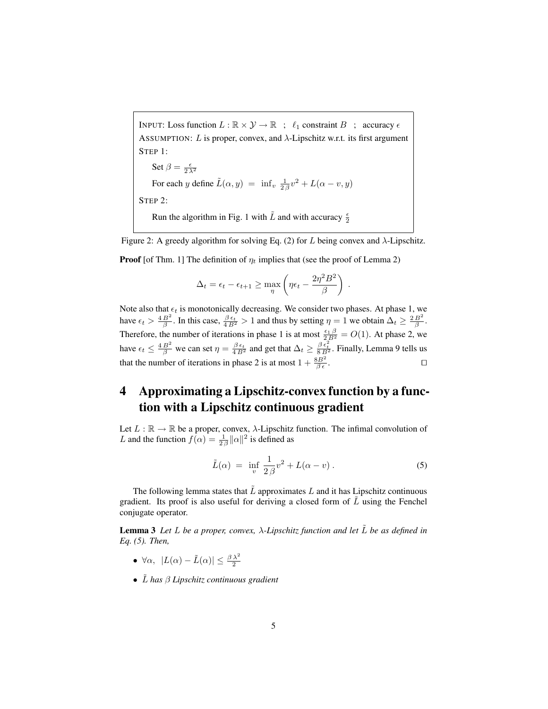INPUT: Loss function  $L : \mathbb{R} \times \mathcal{Y} \to \mathbb{R}$ ;  $\ell_1$  constraint  $B$ ; accuracy  $\epsilon$ ASSUMPTION: L is proper, convex, and  $\lambda$ -Lipschitz w.r.t. its first argument STEP 1:

Set  $\beta = \frac{\epsilon}{2\lambda^2}$ For each y define  $\tilde{L}(\alpha, y) = \inf_v \frac{1}{2\beta}v^2 + L(\alpha - v, y)$ STEP 2: Run the algorithm in Fig. 1 with  $\tilde{L}$  and with accuracy  $\frac{\epsilon}{2}$ 

Figure 2: A greedy algorithm for solving Eq. (2) for L being convex and  $\lambda$ -Lipschitz. **Proof** [of Thm. 1] The definition of  $\eta_t$  implies that (see the proof of Lemma 2)

$$
\Delta_t = \epsilon_t - \epsilon_{t+1} \ge \max_{\eta} \left( \eta \epsilon_t - \frac{2\eta^2 B^2}{\beta} \right)
$$

Note also that  $\epsilon_t$  is monotonically decreasing. We consider two phases. At phase 1, we have  $\epsilon_t > \frac{4B^2}{\beta}$ . In this case,  $\frac{\beta \epsilon_t}{4B^2} > 1$  and thus by setting  $\eta = 1$  we obtain  $\Delta_t \ge \frac{2B^2}{\beta}$ . Therefore, the number of iterations in phase 1 is at most  $\frac{\epsilon_1 \beta}{2B^2} = O(1)$ . At phase 2, we have  $\epsilon_t \leq \frac{4B^2}{\beta}$  we can set  $\eta = \frac{\beta \epsilon_t}{4B^2}$  and get that  $\Delta_t \geq \frac{\beta \epsilon_t^2}{8B^2}$ . Finally, Lemma 9 tells us that the number of iterations in phase 2 is at most  $1 + \frac{8B^2}{\beta \epsilon}$ .

## 4 Approximating a Lipschitz-convex function by a function with a Lipschitz continuous gradient

Let  $L : \mathbb{R} \to \mathbb{R}$  be a proper, convex,  $\lambda$ -Lipschitz function. The infimal convolution of L and the function  $f(\alpha) = \frac{1}{2\beta} ||\alpha||^2$  is defined as

$$
\tilde{L}(\alpha) = \inf_{v} \frac{1}{2\beta} v^2 + L(\alpha - v) . \tag{5}
$$

.

The following lemma states that  $L$  approximates  $L$  and it has Lipschitz continuous gradient. Its proof is also useful for deriving a closed form of  $\tilde{L}$  using the Fenchel conjugate operator.

**Lemma 3** Let L be a proper, convex,  $\lambda$ -Lipschitz function and let  $\tilde{L}$  be as defined in *Eq. (5). Then,*

- $\forall \alpha, \ |L(\alpha) \tilde{L}(\alpha)| \leq \frac{\beta \lambda^2}{2}$
- $\tilde{L}$  has  $\beta$  *Lipschitz continuous gradient*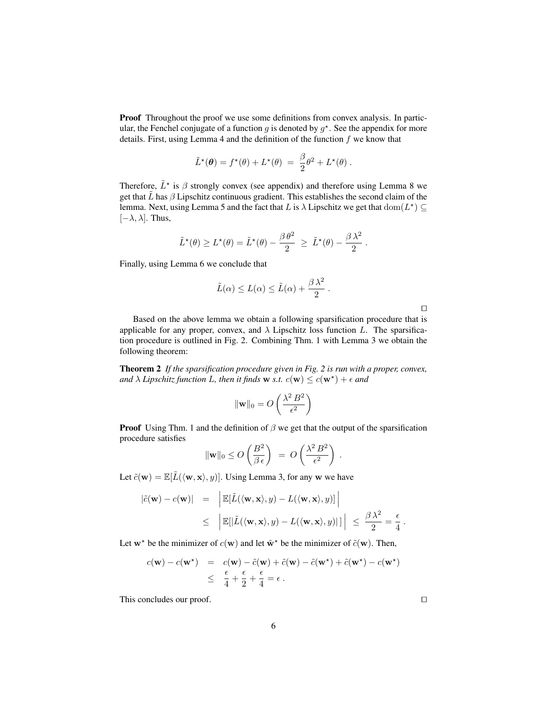Proof Throughout the proof we use some definitions from convex analysis. In particular, the Fenchel conjugate of a function g is denoted by  $g^*$ . See the appendix for more details. First, using Lemma 4 and the definition of the function  $f$  we know that

$$
\tilde{L}^{\star}(\boldsymbol{\theta}) = f^{\star}(\boldsymbol{\theta}) + L^{\star}(\boldsymbol{\theta}) = \frac{\beta}{2}\theta^2 + L^{\star}(\boldsymbol{\theta}).
$$

Therefore,  $\tilde{L}^*$  is  $\beta$  strongly convex (see appendix) and therefore using Lemma 8 we get that  $\tilde{L}$  has  $\beta$  Lipschitz continuous gradient. This establishes the second claim of the lemma. Next, using Lemma 5 and the fact that L is  $\lambda$  Lipschitz we get that  $\text{dom}(L^*) \subseteq$  $[-\lambda, \lambda]$ . Thus,

$$
\tilde{L}^{\star}(\theta) \geq L^{\star}(\theta) = \tilde{L}^{\star}(\theta) - \frac{\beta \theta^2}{2} \geq \tilde{L}^{\star}(\theta) - \frac{\beta \lambda^2}{2}.
$$

Finally, using Lemma 6 we conclude that

$$
\tilde{L}(\alpha) \le L(\alpha) \le \tilde{L}(\alpha) + \frac{\beta \lambda^2}{2}.
$$

| ۰ | ۰ |  |
|---|---|--|
|   |   |  |
|   |   |  |
|   |   |  |

Based on the above lemma we obtain a following sparsification procedure that is applicable for any proper, convex, and  $\lambda$  Lipschitz loss function L. The sparsification procedure is outlined in Fig. 2. Combining Thm. 1 with Lemma 3 we obtain the following theorem:

Theorem 2 *If the sparsification procedure given in Fig. 2 is run with a proper, convex,* and  $\lambda$  *Lipschitz function L, then it finds* w *s.t.*  $c(\mathbf{w}) \leq c(\mathbf{w}^*) + \epsilon$  and

$$
\|\mathbf{w}\|_0 = O\left(\frac{\lambda^2 B^2}{\epsilon^2}\right)
$$

**Proof** Using Thm. 1 and the definition of  $\beta$  we get that the output of the sparsification procedure satisfies

$$
\|\mathbf{w}\|_0 \le O\left(\frac{B^2}{\beta \epsilon}\right) = O\left(\frac{\lambda^2 B^2}{\epsilon^2}\right).
$$

Let  $\tilde{c}(\mathbf{w}) = \mathbb{E}[\tilde{L}(\langle \mathbf{w}, \mathbf{x} \rangle, y)]$ . Using Lemma 3, for any w we have

$$
|\tilde{c}(\mathbf{w}) - c(\mathbf{w})| = \left| \mathbb{E}[\tilde{L}(\langle \mathbf{w}, \mathbf{x} \rangle, y) - L(\langle \mathbf{w}, \mathbf{x} \rangle, y)] \right|
$$
  

$$
\leq \left| \mathbb{E}[|\tilde{L}(\langle \mathbf{w}, \mathbf{x} \rangle, y) - L(\langle \mathbf{w}, \mathbf{x} \rangle, y)]| \right| \leq \frac{\beta \lambda^2}{2} = \frac{\epsilon}{4}.
$$

Let  $w^*$  be the minimizer of  $c(w)$  and let  $\tilde{w}^*$  be the minimizer of  $\tilde{c}(w)$ . Then,

$$
c(\mathbf{w}) - c(\mathbf{w}^*) = c(\mathbf{w}) - \tilde{c}(\mathbf{w}) + \tilde{c}(\mathbf{w}) - \tilde{c}(\mathbf{w}^*) + \tilde{c}(\mathbf{w}^*) - c(\mathbf{w}^*)
$$
  
 
$$
\leq \frac{\epsilon}{4} + \frac{\epsilon}{2} + \frac{\epsilon}{4} = \epsilon.
$$

This concludes our proof.  $\Box$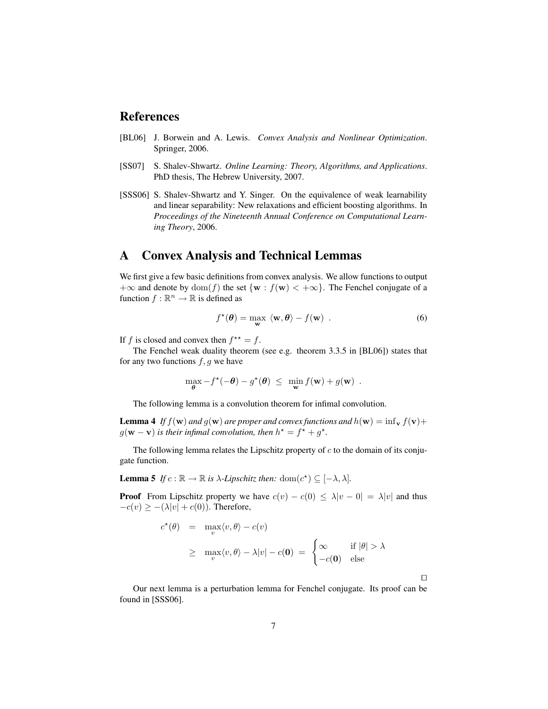#### References

- [BL06] J. Borwein and A. Lewis. *Convex Analysis and Nonlinear Optimization*. Springer, 2006.
- [SS07] S. Shalev-Shwartz. *Online Learning: Theory, Algorithms, and Applications*. PhD thesis, The Hebrew University, 2007.
- [SSS06] S. Shalev-Shwartz and Y. Singer. On the equivalence of weak learnability and linear separability: New relaxations and efficient boosting algorithms. In *Proceedings of the Nineteenth Annual Conference on Computational Learning Theory*, 2006.

#### A Convex Analysis and Technical Lemmas

We first give a few basic definitions from convex analysis. We allow functions to output  $+\infty$  and denote by  $\text{dom}(f)$  the set  $\{w : f(w) < +\infty\}$ . The Fenchel conjugate of a function  $f : \mathbb{R}^n \to \mathbb{R}$  is defined as

$$
f^{\star}(\boldsymbol{\theta}) = \max_{\mathbf{w}} \langle \mathbf{w}, \boldsymbol{\theta} \rangle - f(\mathbf{w}) \quad . \tag{6}
$$

If f is closed and convex then  $f^{\star\star} = f$ .

The Fenchel weak duality theorem (see e.g. theorem 3.3.5 in [BL06]) states that for any two functions  $f, g$  we have

$$
\max_{\theta} -f^{\star}(-\theta) - g^{\star}(\theta) \leq \min_{\mathbf{w}} f(\mathbf{w}) + g(\mathbf{w}) .
$$

The following lemma is a convolution theorem for infimal convolution.

**Lemma 4** If  $f(\mathbf{w})$  and  $g(\mathbf{w})$  are proper and convex functions and  $h(\mathbf{w}) = \inf_{\mathbf{v}} f(\mathbf{v}) +$  $g(\mathbf{w}-\mathbf{v})$  *is their infimal convolution, then*  $h^* = f^* + g^*$ .

The following lemma relates the Lipschitz property of  $c$  to the domain of its conjugate function.

**Lemma 5** *If*  $c : \mathbb{R} \to \mathbb{R}$  *is*  $\lambda$ -*Lipschitz then:* dom $(c^*) \subseteq [-\lambda, \lambda]$ *.* 

**Proof** From Lipschitz property we have  $c(v) - c(0) \leq \lambda |v - 0| = \lambda |v|$  and thus  $-c(v) \geq -(\lambda |v| + c(0))$ . Therefore,

$$
c^{\star}(\theta) = \max_{v} \langle v, \theta \rangle - c(v)
$$
  
\n
$$
\geq \max_{v} \langle v, \theta \rangle - \lambda |v| - c(\mathbf{0}) = \begin{cases} \infty & \text{if } |\theta| > \lambda \\ -c(\mathbf{0}) & \text{else} \end{cases}
$$

 $\Box$ 

Our next lemma is a perturbation lemma for Fenchel conjugate. Its proof can be found in [SSS06].